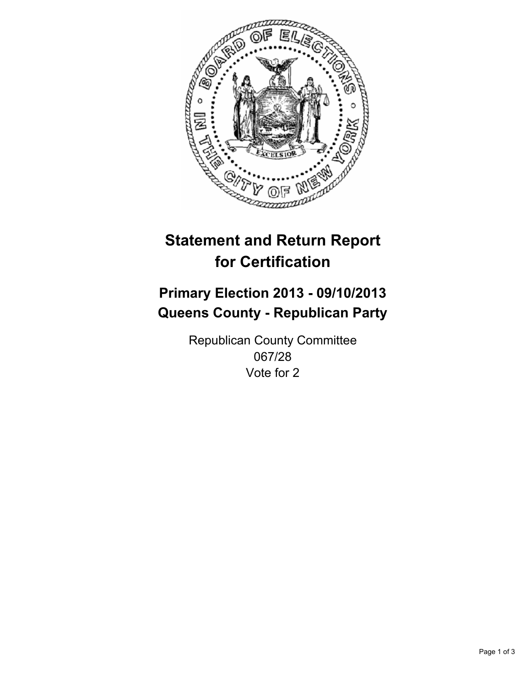

# **Statement and Return Report for Certification**

# **Primary Election 2013 - 09/10/2013 Queens County - Republican Party**

Republican County Committee 067/28 Vote for 2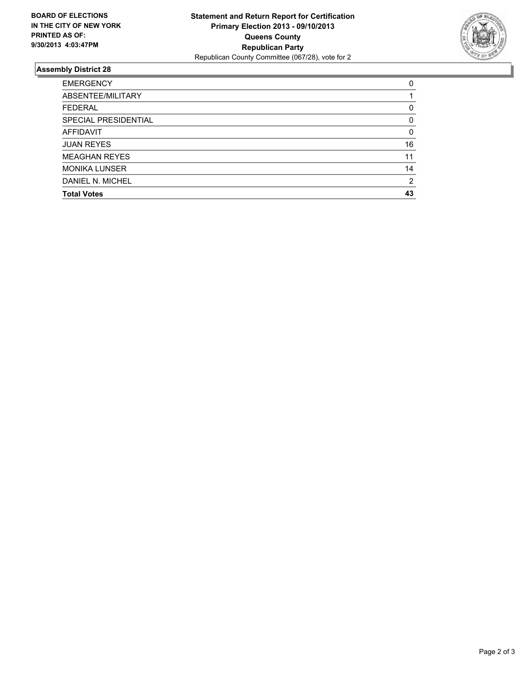

## **Assembly District 28**

| 0        |
|----------|
|          |
| 0        |
| 0        |
| $\Omega$ |
| 16       |
| 11       |
| 14       |
| 2        |
| 43       |
|          |